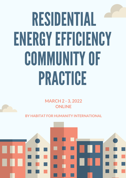## RESIDENTIAL ENERGYEFFICIENCY COMMUNITYOF PRACTICE

**MARCH 2 - 3, 2022 ONLINE** 

**BY HABITAT FOR HUMANITY INTERNATIONAL**

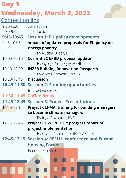